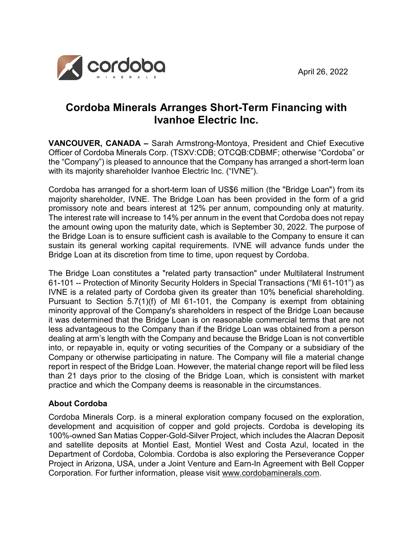

# **Cordoba Minerals Arranges Short-Term Financing with Ivanhoe Electric Inc.**

**VANCOUVER, CANADA –** Sarah Armstrong-Montoya, President and Chief Executive Officer of Cordoba Minerals Corp. (TSXV:CDB; OTCQB:CDBMF; otherwise "Cordoba" or the "Company") is pleased to announce that the Company has arranged a short-term loan with its majority shareholder Ivanhoe Electric Inc. ("IVNE").

Cordoba has arranged for a short-term loan of US\$6 million (the "Bridge Loan") from its majority shareholder, IVNE. The Bridge Loan has been provided in the form of a grid promissory note and bears interest at 12% per annum, compounding only at maturity. The interest rate will increase to 14% per annum in the event that Cordoba does not repay the amount owing upon the maturity date, which is September 30, 2022. The purpose of the Bridge Loan is to ensure sufficient cash is available to the Company to ensure it can sustain its general working capital requirements. IVNE will advance funds under the Bridge Loan at its discretion from time to time, upon request by Cordoba.

The Bridge Loan constitutes a "related party transaction" under Multilateral Instrument 61-101 -- Protection of Minority Security Holders in Special Transactions ("MI 61-101") as IVNE is a related party of Cordoba given its greater than 10% beneficial shareholding. Pursuant to Section 5.7(1)(f) of MI 61-101, the Company is exempt from obtaining minority approval of the Company's shareholders in respect of the Bridge Loan because it was determined that the Bridge Loan is on reasonable commercial terms that are not less advantageous to the Company than if the Bridge Loan was obtained from a person dealing at arm's length with the Company and because the Bridge Loan is not convertible into, or repayable in, equity or voting securities of the Company or a subsidiary of the Company or otherwise participating in nature. The Company will file a material change report in respect of the Bridge Loan. However, the material change report will be filed less than 21 days prior to the closing of the Bridge Loan, which is consistent with market practice and which the Company deems is reasonable in the circumstances.

## **About Cordoba**

Cordoba Minerals Corp. is a mineral exploration company focused on the exploration, development and acquisition of copper and gold projects. Cordoba is developing its 100%-owned San Matias Copper-Gold-Silver Project, which includes the Alacran Deposit and satellite deposits at Montiel East, Montiel West and Costa Azul, located in the Department of Cordoba, Colombia. Cordoba is also exploring the Perseverance Copper Project in Arizona, USA, under a Joint Venture and Earn-In Agreement with Bell Copper Corporation. For further information, please visit [www.cordobaminerals.com.](http://www.cordobaminerals.com/)